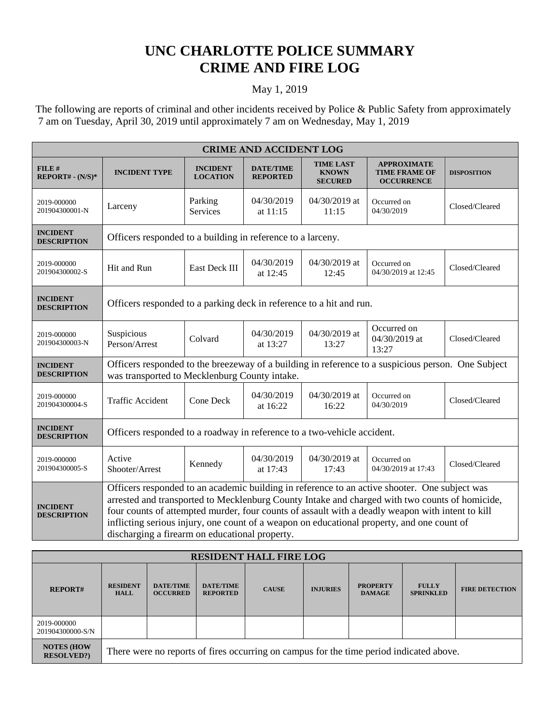## **UNC CHARLOTTE POLICE SUMMARY CRIME AND FIRE LOG**

## May 1, 2019

 The following are reports of criminal and other incidents received by Police & Public Safety from approximately 7 am on Tuesday, April 30, 2019 until approximately 7 am on Wednesday, May 1, 2019

| <b>CRIME AND ACCIDENT LOG</b>         |                                                                                                                                                                                                                                                                                                                                                                                                                                                     |                                    |                                     |                                                    |                                                                 |                    |  |  |
|---------------------------------------|-----------------------------------------------------------------------------------------------------------------------------------------------------------------------------------------------------------------------------------------------------------------------------------------------------------------------------------------------------------------------------------------------------------------------------------------------------|------------------------------------|-------------------------------------|----------------------------------------------------|-----------------------------------------------------------------|--------------------|--|--|
| FILE#<br>REPORT# - (N/S)*             | <b>INCIDENT TYPE</b>                                                                                                                                                                                                                                                                                                                                                                                                                                | <b>INCIDENT</b><br><b>LOCATION</b> | <b>DATE/TIME</b><br><b>REPORTED</b> | <b>TIME LAST</b><br><b>KNOWN</b><br><b>SECURED</b> | <b>APPROXIMATE</b><br><b>TIME FRAME OF</b><br><b>OCCURRENCE</b> | <b>DISPOSITION</b> |  |  |
| 2019-000000<br>201904300001-N         | Larceny                                                                                                                                                                                                                                                                                                                                                                                                                                             | Parking<br>Services                | 04/30/2019<br>at $11:15$            | 04/30/2019 at<br>11:15                             | Occurred on<br>04/30/2019                                       | Closed/Cleared     |  |  |
| <b>INCIDENT</b><br><b>DESCRIPTION</b> | Officers responded to a building in reference to a larceny.                                                                                                                                                                                                                                                                                                                                                                                         |                                    |                                     |                                                    |                                                                 |                    |  |  |
| 2019-000000<br>201904300002-S         | Hit and Run                                                                                                                                                                                                                                                                                                                                                                                                                                         | East Deck III                      | 04/30/2019<br>at 12:45              | 04/30/2019 at<br>12:45                             | Occurred on<br>04/30/2019 at 12:45                              | Closed/Cleared     |  |  |
| <b>INCIDENT</b><br><b>DESCRIPTION</b> | Officers responded to a parking deck in reference to a hit and run.                                                                                                                                                                                                                                                                                                                                                                                 |                                    |                                     |                                                    |                                                                 |                    |  |  |
| 2019-000000<br>201904300003-N         | Suspicious<br>Person/Arrest                                                                                                                                                                                                                                                                                                                                                                                                                         | Colvard                            | 04/30/2019<br>at 13:27              | 04/30/2019 at<br>13:27                             | Occurred on<br>04/30/2019 at<br>13:27                           | Closed/Cleared     |  |  |
| <b>INCIDENT</b><br><b>DESCRIPTION</b> | Officers responded to the breezeway of a building in reference to a suspicious person. One Subject<br>was transported to Mecklenburg County intake.                                                                                                                                                                                                                                                                                                 |                                    |                                     |                                                    |                                                                 |                    |  |  |
| 2019-000000<br>201904300004-S         | <b>Traffic Accident</b>                                                                                                                                                                                                                                                                                                                                                                                                                             | Cone Deck                          | 04/30/2019<br>at 16:22              | 04/30/2019 at<br>16:22                             | Occurred on<br>04/30/2019                                       | Closed/Cleared     |  |  |
| <b>INCIDENT</b><br><b>DESCRIPTION</b> | Officers responded to a roadway in reference to a two-vehicle accident.                                                                                                                                                                                                                                                                                                                                                                             |                                    |                                     |                                                    |                                                                 |                    |  |  |
| 2019-000000<br>201904300005-S         | Active<br>Shooter/Arrest                                                                                                                                                                                                                                                                                                                                                                                                                            | Kennedy                            | 04/30/2019<br>at 17:43              | 04/30/2019 at<br>17:43                             | Occurred on<br>04/30/2019 at 17:43                              | Closed/Cleared     |  |  |
| <b>INCIDENT</b><br><b>DESCRIPTION</b> | Officers responded to an academic building in reference to an active shooter. One subject was<br>arrested and transported to Mecklenburg County Intake and charged with two counts of homicide,<br>four counts of attempted murder, four counts of assault with a deadly weapon with intent to kill<br>inflicting serious injury, one count of a weapon on educational property, and one count of<br>discharging a firearm on educational property. |                                    |                                     |                                                    |                                                                 |                    |  |  |

| <b>RESIDENT HALL FIRE LOG</b>         |                                                                                         |                                     |                                     |              |                 |                                  |                                  |                       |
|---------------------------------------|-----------------------------------------------------------------------------------------|-------------------------------------|-------------------------------------|--------------|-----------------|----------------------------------|----------------------------------|-----------------------|
| <b>REPORT#</b>                        | <b>RESIDENT</b><br><b>HALL</b>                                                          | <b>DATE/TIME</b><br><b>OCCURRED</b> | <b>DATE/TIME</b><br><b>REPORTED</b> | <b>CAUSE</b> | <b>INJURIES</b> | <b>PROPERTY</b><br><b>DAMAGE</b> | <b>FULLY</b><br><b>SPRINKLED</b> | <b>FIRE DETECTION</b> |
| 2019-000000<br>201904300000-S/N       |                                                                                         |                                     |                                     |              |                 |                                  |                                  |                       |
| <b>NOTES (HOW</b><br><b>RESOLVED?</b> | There were no reports of fires occurring on campus for the time period indicated above. |                                     |                                     |              |                 |                                  |                                  |                       |